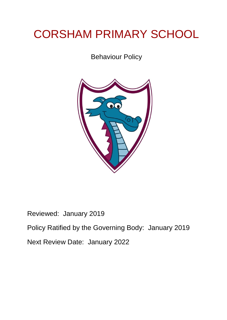# CORSHAM PRIMARY SCHOOL

Behaviour Policy



Reviewed: January 2019 Policy Ratified by the Governing Body: January 2019 Next Review Date: January 2022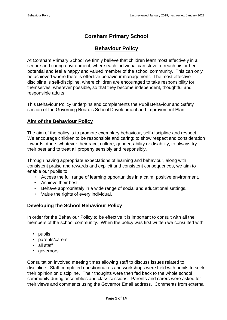## **Corsham Primary School**

## **Behaviour Policy**

At Corsham Primary School we firmly believe that children learn most effectively in a secure and caring environment, where each individual can strive to reach his or her potential and feel a happy and valued member of the school community. This can only be achieved where there is effective behaviour management. The most effective discipline is self-discipline, where children are encouraged to take responsibility for themselves, wherever possible, so that they become independent, thoughtful and responsible adults.

This Behaviour Policy underpins and complements the Pupil Behaviour and Safety section of the Governing Board's School Development and Improvement Plan.

## **Aim of the Behaviour Policy**

The aim of the policy is to promote exemplary behaviour, self-discipline and respect. We encourage children to be responsible and caring; to show respect and consideration towards others whatever their race, culture, gender, ability or disability; to always try their best and to treat all property sensibly and responsibly.

Through having appropriate expectations of learning and behaviour, along with consistent praise and rewards and explicit and consistent consequences, we aim to enable our pupils to:

- Access the full range of learning opportunities in a calm, positive environment.
- Achieve their best.
- Behave appropriately in a wide range of social and educational settings.
- Value the rights of every individual.

## **Developing the School Behaviour Policy**

In order for the Behaviour Policy to be effective it is important to consult with all the members of the school community. When the policy was first written we consulted with:

- pupils
- parents/carers
- all staff
- governors

Consultation involved meeting times allowing staff to discuss issues related to discipline. Staff completed questionnaires and workshops were held with pupils to seek their opinion on discipline. Their thoughts were then fed back to the whole school community during assemblies and class sessions. Parents and carers were asked for their views and comments using the Governor Email address. Comments from external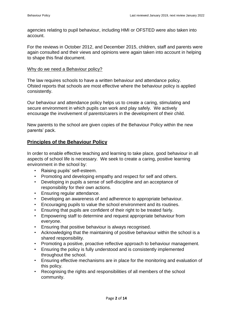agencies relating to pupil behaviour, including HMI or OFSTED were also taken into account.

For the reviews in October 2012, and December 2015, children, staff and parents were again consulted and their views and opinions were again taken into account in helping to shape this final document.

#### Why do we need a Behaviour policy?

The law requires schools to have a written behaviour and attendance policy. Ofsted reports that schools are most effective where the behaviour policy is applied consistently.

Our behaviour and attendance policy helps us to create a caring, stimulating and secure environment in which pupils can work and play safely. We actively encourage the involvement of parents/carers in the development of their child.

New parents to the school are given copies of the Behaviour Policy within the new parents' pack.

## **Principles of the Behaviour Policy**

In order to enable effective teaching and learning to take place, good behaviour in all aspects of school life is necessary. We seek to create a caring, positive learning environment in the school by:

- Raising pupils' self-esteem.
- Promoting and developing empathy and respect for self and others.
- Developing in pupils a sense of self-discipline and an acceptance of responsibility for their own actions.
- Ensuring regular attendance.
- Developing an awareness of and adherence to appropriate behaviour.
- Encouraging pupils to value the school environment and its routines.
- Ensuring that pupils are confident of their right to be treated fairly.
- Empowering staff to determine and request appropriate behaviour from everyone.
- Ensuring that positive behaviour is always recognised.
- Acknowledging that the maintaining of positive behaviour within the school is a shared responsibility.
- Promoting a positive, proactive reflective approach to behaviour management.
- Ensuring the policy is fully understood and is consistently implemented throughout the school.
- Ensuring effective mechanisms are in place for the monitoring and evaluation of this policy.
- Recognising the rights and responsibilities of all members of the school community.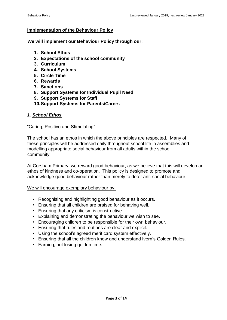#### **Implementation of the Behaviour Policy**

**We will implement our Behaviour Policy through our:** 

- **1. School Ethos**
- **2. Expectations of the school community**
- **3. Curriculum**
- **4. School Systems**
- **5. Circle Time**
- **6. Rewards**
- **7. Sanctions**
- **8. Support Systems for Individual Pupil Need**
- **9. Support Systems for Staff**
- **10.Support Systems for Parents/Carers**

#### *1. School Ethos*

"Caring, Positive and Stimulating"

The school has an ethos in which the above principles are respected. Many of these principles will be addressed daily throughout school life in assemblies and modelling appropriate social behaviour from all adults within the school community.

At Corsham Primary, we reward good behaviour, as we believe that this will develop an ethos of kindness and co-operation. This policy is designed to promote and acknowledge good behaviour rather than merely to deter anti-social behaviour.

#### We will encourage exemplary behaviour by:

- Recognising and highlighting good behaviour as it occurs.
- Ensuring that all children are praised for behaving well.
- Ensuring that any criticism is constructive.
- Explaining and demonstrating the behaviour we wish to see.
- Encouraging children to be responsible for their own behaviour.
- Ensuring that rules and routines are clear and explicit.
- Using the school's agreed merit card system effectively.
- Ensuring that all the children know and understand Ivern's Golden Rules.
- Earning, not losing golden time.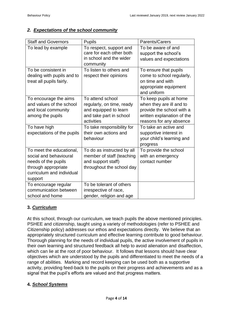#### *2. Expectations of the school community*

| <b>Staff and Governors</b>                                                                                                               | <b>Pupils</b>                                                                                                   | Parents/Carers                                                                                                                           |
|------------------------------------------------------------------------------------------------------------------------------------------|-----------------------------------------------------------------------------------------------------------------|------------------------------------------------------------------------------------------------------------------------------------------|
| To lead by example                                                                                                                       | To respect, support and<br>care for each other both<br>in school and the wider<br>community                     | To be aware of and<br>support the school's<br>values and expectations                                                                    |
| To be consistent in<br>dealing with pupils and to<br>treat all pupils fairly.                                                            | To listen to others and<br>respect their opinions                                                               | To ensure that pupils<br>come to school regularly,<br>on time and with<br>appropriate equipment<br>and uniform                           |
| To encourage the aims<br>and values of the school<br>and local community<br>among the pupils                                             | To attend school<br>regularly, on time, ready<br>and equipped to learn<br>and take part in school<br>activities | To keep pupils at home<br>when they are ill and to<br>provide the school with a<br>written explanation of the<br>reasons for any absence |
| To have high<br>expectations of the pupils                                                                                               | To take responsibility for<br>their own actions and<br>behaviour                                                | To take an active and<br>supportive interest in<br>your child's learning and<br>progress                                                 |
| To meet the educational,<br>social and behavioural<br>needs of the pupils<br>through appropriate<br>curriculum and individual<br>support | To do as instructed by all<br>member of staff (teaching<br>and support staff)<br>throughout the school day      | To provide the school<br>with an emergency<br>contact number                                                                             |
| To encourage regular<br>communication between<br>school and home                                                                         | To be tolerant of others<br>irrespective of race,<br>gender, religion and age                                   |                                                                                                                                          |

#### **3.** *Curriculum*

At this school, through our curriculum, we teach pupils the above mentioned principles. PSHEE and citizenship, taught using a variety of methodologies (refer to PSHEE and Citizenship policy) addresses our ethos and expectations directly. We believe that an appropriately structured curriculum and effective learning contribute to good behaviour. Thorough planning for the needs of individual pupils, the active involvement of pupils in their own learning and structured feedback all help to avoid alienation and disaffection, which can lie at the root of poor behaviour. It follows that lessons should have clear objectives which are understood by the pupils and differentiated to meet the needs of a range of abilities. Marking and record keeping can be used both as a supportive activity, providing feed-back to the pupils on their progress and achievements and as a signal that the pupil's efforts are valued and that progress matters.

#### **4.** *School Systems*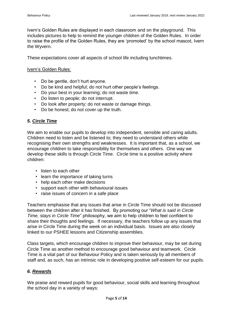Ivern's Golden Rules are displayed in each classroom and on the playground. This includes pictures to help to remind the younger children of the Golden Rules. In order to raise the profile of the Golden Rules, they are 'promoted' by the school mascot, Ivern the Wyvern.

These expectations cover all aspects of school life including lunchtimes.

#### Ivern's Golden Rules:

- Do be gentle, don't hurt anyone.
- Do be kind and helpful; do not hurt other people's feelings.
- Do your best in your learning; do not waste time.
- Do listen to people; do not interrupt.
- Do look after property; do not waste or damage things.
- Do be honest; do not cover up the truth.

#### *5. Circle Time*

We aim to enable our pupils to develop into independent, sensible and caring adults. Children need to listen and be listened to; they need to understand others while recognising their own strengths and weaknesses. It is important that, as a school, we encourage children to take responsibility for themselves and others. One way we develop these skills is through Circle Time. Circle time is a positive activity where children:

- listen to each other
- learn the importance of taking turns
- help each other make decisions
- support each other with behavioural issues
- raise issues of concern in a safe place

Teachers emphasise that any issues that arise in Circle Time should not be discussed between the children after it has finished. By promoting our "*What is said in Circle Time, stays in Circle Time*" philosophy, we aim to help children to feel confident to share their thoughts and feelings. If necessary, the teachers follow up any issues that arise in Circle Time during the week on an individual basis. Issues are also closely linked to our PSHEE lessons and Citizenship assemblies.

Class targets, which encourage children to improve their behaviour, may be set during Circle Time as another method to encourage good behaviour and teamwork. Circle Time is a vital part of our Behaviour Policy and is taken seriously by all members of staff and, as such, has an intrinsic role in developing positive self-esteem for our pupils.

#### *6. Rewards*

We praise and reward pupils for good behaviour, social skills and learning throughout the school day in a variety of ways: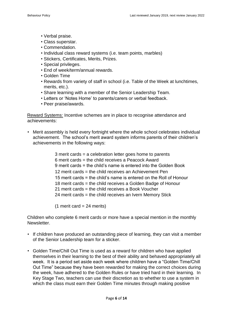- Verbal praise.
- Class superstar.
- Commendation.
- Individual class reward systems (i.e. team points, marbles)
- Stickers, Certificates, Merits, Prizes.
- Special privileges.
- End of week/term/annual rewards.
- Golden Time
- Rewards from variety of staff in school (i.e. Table of the Week at lunchtimes, merits, etc.).
- Share learning with a member of the Senior Leadership Team.
- Letters or 'Notes Home' to parents/carers or verbal feedback.
- Peer praise/awards.

Reward Systems: Incentive schemes are in place to recognise attendance and achievements:

• Merit assembly is held every fortnight where the whole school celebrates individual achievement. The school's merit award system informs parents of their children's achievements in the following ways:

> 3 merit cards = a celebration letter goes home to parents 6 merit cards = the child receives a Peacock Award 9 merit cards = the child's name is entered into the Golden Book 12 merit cards = the child receives an Achievement Pen 15 merit cards = the child's name is entered on the Roll of Honour 18 merit cards = the child receives a Golden Badge of Honour 21 merit cards = the child receives a Book Voucher 24 merit cards = the child receives an Ivern Memory Stick

 $(1$  merit card = 24 merits)

Children who complete 6 merit cards or more have a special mention in the monthly Newsletter.

- If children have produced an outstanding piece of learning, they can visit a member of the Senior Leadership team for a sticker.
- Golden Time/Chill Out Time is used as a reward for children who have applied themselves in their learning to the best of their ability and behaved appropriately all week. It is a period set aside each week where children have a "Golden Time/Chill Out Time" because they have been rewarded for making the correct choices during the week, have adhered to the Golden Rules or have tried hard in their learning. In Key Stage Two, teachers can use their discretion as to whether to use a system in which the class must earn their Golden Time minutes through making positive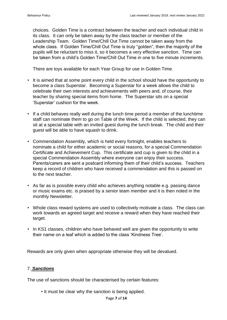choices. Golden Time is a contract between the teacher and each individual child in its class. It can only be taken away by the class teacher or member of the Leadership Team. Golden Time/Chill Out Time cannot be taken away from the whole class. If Golden Time/Chill Out Time is truly "golden", then the majority of the pupils will be reluctant to miss it, so it becomes a very effective sanction. Time can be taken from a child's Golden Time/Chill Out Time in one to five minute increments.

There are toys available for each Year Group for use in Golden Time.

- It is aimed that at some point every child in the school should have the opportunity to become a class Superstar. Becoming a Superstar for a week allows the child to celebrate their own interests and achievements with peers and, of course, their teacher by sharing special items from home. The Superstar sits on a special 'Superstar' cushion for the week.
- If a child behaves really well during the lunch time period a member of the lunchtime staff can nominate them to go on Table of the Week. If the child is selected, they can sit at a special table with an invited guest during the lunch break. The child and their guest will be able to have squash to drink.
- Commendation Assembly, which is held every fortnight, enables teachers to nominate a child for either academic or social reasons, for a special Commendation Certificate and Achievement Cup. This certificate and cup is given to the child in a special Commendation Assembly where everyone can enjoy their success. Parents/carers are sent a postcard informing them of their child's success. Teachers keep a record of children who have received a commendation and this is passed on to the next teacher.
- As far as is possible every child who achieves anything notable e.g. passing dance or music exams etc. is praised by a senior team member and it is then noted in the monthly Newsletter.
- Whole class reward systems are used to collectively motivate a class. The class can work towards an agreed target and receive a reward when they have reached their target.
- In KS1 classes, children who have behaved well are given the opportunity to write their name on a leaf which is added to the class 'Kindness Tree'.

Rewards are only given when appropriate otherwise they will be devalued.

#### 7. *Sanctions*

The use of sanctions should be characterised by certain features:

• It must be clear why the sanction is being applied.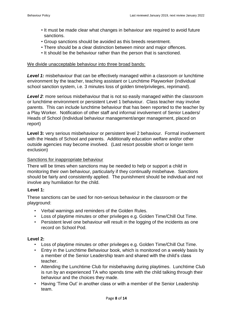- It must be made clear what changes in behaviour are required to avoid future sanctions.
- Group sanctions should be avoided as this breeds resentment.
- There should be a clear distinction between minor and major offences.
- It should be the behaviour rather than the person that is sanctioned.

#### We divide unacceptable behaviour into three broad bands:

**Level 1:** misbehaviour that can be effectively managed within a classroom or lunchtime environment by the teacher, teaching assistant or Lunchtime Playworker (individual school sanction system, i.e. 3 minutes loss of golden time/privileges, reprimand).

**Level 2:** more serious misbehaviour that is not so easily managed within the classroom or lunchtime environment or persistent Level 1 behaviour. Class teacher may involve parents. This can include lunchtime behaviour that has been reported to the teacher by a Play Worker. Notification of other staff and informal involvement of Senior Leaders/ Heads of School (Individual behaviour management/anger management, placed on report)

**Level 3:** very serious misbehaviour or persistent level 2 behaviour. Formal involvement with the Heads of School and parents. Additionally education welfare and/or other outside agencies may become involved. (Last resort possible short or longer term exclusion)

#### Sanctions for inappropriate behaviour

There will be times when sanctions may be needed to help or support a child in monitoring their own behaviour, particularly if they continually misbehave. Sanctions should be fairly and consistently applied. The punishment should be individual and not involve any humiliation for the child.

#### **Level 1:**

These sanctions can be used for non-serious behaviour in the classroom or the playground:

- Verbal warnings and reminders of the Golden Rules.
- Loss of playtime minutes or other privileges e.g. Golden Time/Chill Out Time.
- Persistent level one behaviour will result in the logging of the incidents as one record on School Pod.

#### **Level 2:**

- Loss of playtime minutes or other privileges e.g. Golden Time/Chill Out Time.
- Entry in the Lunchtime Behaviour book, which is monitored on a weekly basis by a member of the Senior Leadership team and shared with the child's class teacher.
- Attending the Lunchtime Club for misbehaving during playtimes. Lunchtime Club is run by an experienced TA who spends time with the child talking through their behaviour and the choices they made.
- Having 'Time Out' in another class or with a member of the Senior Leadership team.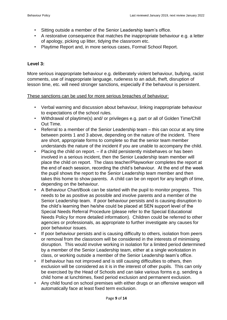- Sitting outside a member of the Senior Leadership team's office.
- A restorative consequence that matches the inappropriate behaviour e.g. a letter of apology, picking up litter, tidying the classroom etc.
- Playtime Report and, in more serious cases, Formal School Report.

### **Level 3:**

More serious inappropriate behaviour e.g. deliberately violent behaviour, bullying, racist comments, use of inappropriate language, rudeness to an adult, theft, disruption of lesson time, etc. will need stronger sanctions, especially if the behaviour is persistent.

#### These sanctions can be used for more serious breaches of behaviour:

- Verbal warning and discussion about behaviour, linking inappropriate behaviour to expectations of the school rules.
- Withdrawal of playtime(s) and/ or privileges e.g. part or all of Golden Time/Chill Out Time.
- Referral to a member of the Senior Leadership team this can occur at any time between points 1 and 3 above, depending on the nature of the incident. There are short, appropriate forms to complete so that the senior team member understands the nature of the incident if you are unable to accompany the child.
- Placing the child on report. if a child persistently misbehaves or has been involved in a serious incident, then the Senior Leadership team member will place the child on report. The class teacher/Playworker completes the report at the end of each session, recording the child's behaviour. At the end of the week the pupil shows the report to the Senior Leadership team member and then takes this home to show parents. A child can be on report for any length of time, depending on the behaviour.
- A Behaviour Chart/Book can be started with the pupil to monitor progress. This needs to be as positive as possible and involve parents and a member of the Senior Leadership team. If poor behaviour persists and is causing disruption to the child's learning then he/she could be placed at SEN support level of the Special Needs Referral Procedure (please refer to the Special Educational Needs Policy for more detailed information). Children could be referred to other agencies or professionals, as appropriate to further investigate any causes for poor behaviour issues.
- If poor behaviour persists and is causing difficulty to others, isolation from peers or removal from the classroom will be considered in the interests of minimising disruption. This would involve working in isolation for a limited period determined by a member of the Senior Leadership team, either at a single workstation in class, or working outside a member of the Senior Leadership team's office.
- If behaviour has not improved and is still causing difficulties to others, then exclusion will be considered as it is in the interest of other pupils. This can only be exercised by the Head of Schools and can take various forms e.g. sending a child home at lunchtimes, fixed period exclusion and permanent exclusion.
- Any child found on school premises with either drugs or an offensive weapon will automatically face at least fixed term exclusion.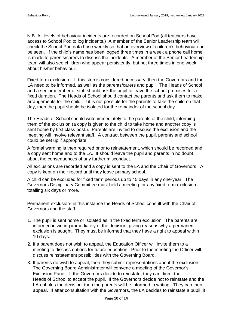N.B. All levels of behaviour incidents are recorded on School Pod (all teachers have access to School Pod to log incidents.) A member of the Senior Leadership team will check the School Pod data base weekly so that an overview of children's behaviour can be seen. If the child's name has been logged three times in a week a phone call home is made to parents/carers to discuss the incidents. A member of the Senior Leadership team will also see children who appear persistently, but not three times in one week about his/her behaviour.

Fixed term exclusion – If this step is considered necessary, then the Governors and the LA need to be informed, as well as the parents/carers and pupil. The Heads of School and a senior member of staff should ask the pupil to leave the school premises for a fixed duration. The Heads of School should contact the parents and ask them to make arrangements for the child. If it is not possible for the parents to take the child on that day, then the pupil should be isolated for the remainder of the school day.

The Heads of School should write immediately to the parents of the child, informing them of the exclusion (a copy is given to the child to take home and another copy is sent home by first class post.). Parents are invited to discuss the exclusion and the meeting will involve relevant staff. A contract between the pupil, parents and school could be set up if appropriate.

A formal warning is then required prior to reinstatement, which should be recorded and a copy sent home and to the LA. It should leave the pupil and parents in no doubt about the consequences of any further misconduct.

All exclusions are recorded and a copy is sent to the LA and the Chair of Governors. A copy is kept on their record until they leave primary school.

A child can be excluded for fixed term periods up to 45 days in any one-year. The Governors Disciplinary Committee must hold a meeting for any fixed term exclusion totalling six days or more.

Permanent exclusion- in this instance the Heads of School consult with the Chair of Governors and the staff.

- 1. The pupil is sent home or isolated as in the fixed term exclusion. The parents are informed in writing immediately of the decision, giving reasons why a permanent exclusion is sought. They must be informed that they have a right to appeal within 10 days.
- 2. If a parent does not wish to appeal, the Education Officer will invite them to a meeting to discuss options for future education. Prior to the meeting the Officer will discuss reinstatement possibilities with the Governing Board.
- 3. If parents do wish to appeal, then they submit representations about the exclusion. The Governing Board Administrator will convene a meeting of the Governor's Exclusion Panel. If the Governors decide to reinstate, they can direct the Heads of School to accept the pupil. If the Governors decide not to reinstate and the LA upholds the decision, then the parents will be informed in writing. They can then appeal. If after consultation with the Governors, the LA decides to reinstate a pupil, it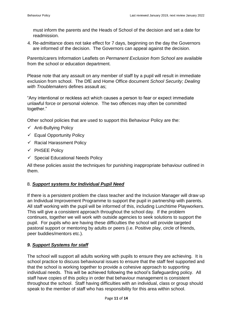must inform the parents and the Heads of School of the decision and set a date for readmission.

4. Re-admittance does not take effect for 7 days, beginning on the day the Governors are informed of the decision. The Governors can appeal against the decision.

Parents/carers Information Leaflets on *Permanent Exclusion from School* are available from the school or education department.

Please note that any assault on any member of staff by a pupil will result in immediate exclusion from school. The DfE and Home Office document *School Security; Dealing with Troublemakers* defines assault as;

"Any intentional or reckless act which causes a person to fear or expect immediate unlawful force or personal violence. The two offences may often be committed together."

Other school policies that are used to support this Behaviour Policy are the:

- $\checkmark$  Anti-Bullying Policy
- $\checkmark$  Equal Opportunity Policy
- $\checkmark$  Racial Harassment Policy
- $\checkmark$  PHSEE Policy
- $\checkmark$  Special Educational Needs Policy

All these policies assist the techniques for punishing inappropriate behaviour outlined in them.

## 8. *Support systems for Individual Pupil Need*

If there is a persistent problem the class teacher and the Inclusion Manager will draw up an Individual Improvement Programme to support the pupil in partnership with parents. All staff working with the pupil will be informed of this, including Lunchtime Playworkers. This will give a consistent approach throughout the school day. If the problem continues, together we will work with outside agencies to seek solutions to support the pupil. For pupils who are having these difficulties the school will provide targeted pastoral support or mentoring by adults or peers (i.e. Positive play, circle of friends, peer buddies/mentors etc.).

#### *9. Support Systems for staff*

The school will support all adults working with pupils to ensure they are achieving. It is school practice to discuss behavioural issues to ensure that the staff feel supported and that the school is working together to provide a cohesive approach to supporting individual needs. This will be achieved following the school's Safeguarding policy. All staff have copies of this policy in order that behaviour management is consistent throughout the school. Staff having difficulties with an individual, class or group should speak to the member of staff who has responsibility for this area within school.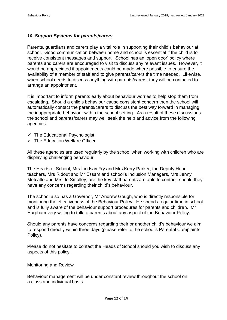#### *10. Support Systems for parents/carers*

Parents, guardians and carers play a vital role in supporting their child's behaviour at school. Good communication between home and school is essential if the child is to receive consistent messages and support. School has an 'open door' policy where parents and carers are encouraged to visit to discuss any relevant issues. However, it would be appreciated if appointments could be made where possible to ensure the availability of a member of staff and to give parents/carers the time needed. Likewise, when school needs to discuss anything with parents/carers, they will be contacted to arrange an appointment.

It is important to inform parents early about behaviour worries to help stop them from escalating. Should a child's behaviour cause consistent concern then the school will automatically contact the parents/carers to discuss the best way forward in managing the inappropriate behaviour within the school setting. As a result of these discussions the school and parents/carers may well seek the help and advice from the following agencies:

- $\checkmark$  The Educational Psychologist
- $\checkmark$  The Education Welfare Officer

All these agencies are used regularly by the school when working with children who are displaying challenging behaviour.

The Heads of School, Mrs Lindsay Fry and Mrs Kerry Parker, the Deputy Head teachers, Mrs Ridout and Mr Essam and school's Inclusion Managers, Mrs Jenny Metcalfe and Mrs Jo Smalley; are the key staff parents are able to contact, should they have any concerns regarding their child's behaviour.

The school also has a Governor, Mr Andrew Gough, who is directly responsible for monitoring the effectiveness of the Behaviour Policy. He spends regular time in school and is fully aware of the behaviour support procedures for parents and children. Mr Harpham very willing to talk to parents about any aspect of the Behaviour Policy.

Should any parents have concerns regarding their or another child's behaviour we aim to respond directly within three days (please refer to the school's Parental Complaints Policy).

Please do not hesitate to contact the Heads of School should you wish to discuss any aspects of this policy.

#### Monitoring and Review

Behaviour management will be under constant review throughout the school on a class and individual basis.